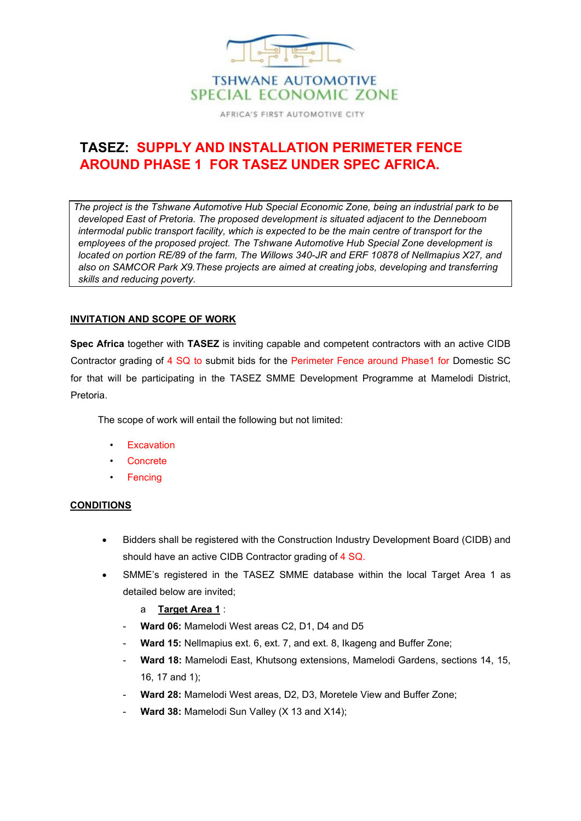

## **TASEZ: SUPPLY AND INSTALLATION PERIMETER FENCE AROUND PHASE 1 FOR TASEZ UNDER SPEC AFRICA.**

*The project is the Tshwane Automotive Hub Special Economic Zone, being an industrial park to be developed East of Pretoria. The proposed development is situated adjacent to the Denneboom intermodal public transport facility, which is expected to be the main centre of transport for the employees of the proposed project. The Tshwane Automotive Hub Special Zone development is located on portion RE/89 of the farm, The Willows 340-JR and ERF 10878 of Nellmapius X27, and also on SAMCOR Park X9.These projects are aimed at creating jobs, developing and transferring skills and reducing poverty.* 

## **INVITATION AND SCOPE OF WORK**

**Spec Africa** together with **TASEZ** is inviting capable and competent contractors with an active CIDB Contractor grading of 4 SQ to submit bids for the Perimeter Fence around Phase1 for Domestic SC for that will be participating in the TASEZ SMME Development Programme at Mamelodi District, Pretoria.

The scope of work will entail the following but not limited:

- **Excavation**
- **Concrete**
- **Fencing**

## **CONDITIONS**

- Bidders shall be registered with the Construction Industry Development Board (CIDB) and should have an active CIDB Contractor grading of 4 SQ.
- SMME's registered in the TASEZ SMME database within the local Target Area 1 as detailed below are invited;
	- a **Target Area 1** :
	- Ward 06: Mamelodi West areas C2, D1, D4 and D5
	- Ward 15: Nellmapius ext. 6, ext. 7, and ext. 8, Ikageng and Buffer Zone;
	- **Ward 18:** Mamelodi East, Khutsong extensions, Mamelodi Gardens, sections 14, 15, 16, 17 and 1);
	- **Ward 28:** Mamelodi West areas, D2, D3, Moretele View and Buffer Zone;
	- **Ward 38: Mamelodi Sun Valley (X 13 and X14);**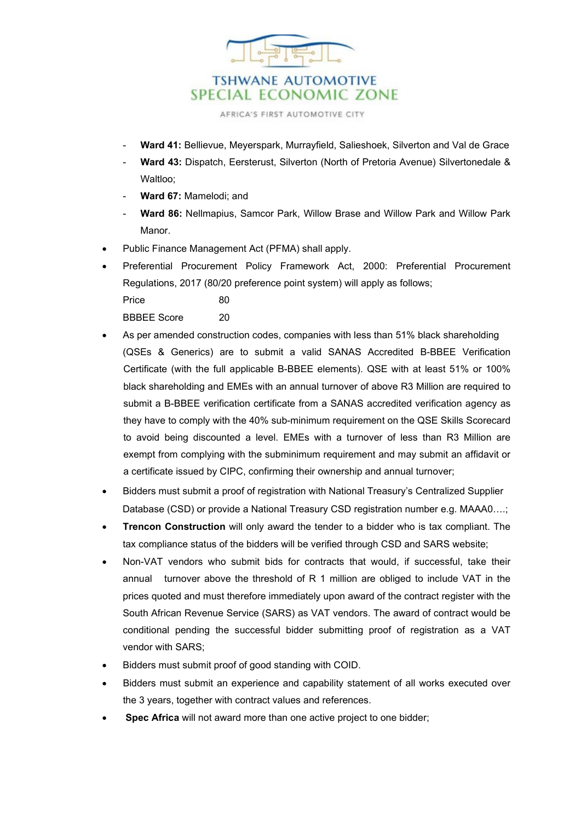

- **Ward 41:** Bellievue, Meyerspark, Murrayfield, Salieshoek, Silverton and Val de Grace
- **Ward 43:** Dispatch, Eersterust, Silverton (North of Pretoria Avenue) Silvertonedale & Waltloo:
- Ward 67: Mamelodi; and
- **Ward 86:** Nellmapius, Samcor Park, Willow Brase and Willow Park and Willow Park Manor.
- Public Finance Management Act (PFMA) shall apply.
- Preferential Procurement Policy Framework Act, 2000: Preferential Procurement Regulations, 2017 (80/20 preference point system) will apply as follows;

Price 80

BBBEE Score 20

- As per amended construction codes, companies with less than 51% black shareholding (QSEs & Generics) are to submit a valid SANAS Accredited B-BBEE Verification Certificate (with the full applicable B-BBEE elements). QSE with at least 51% or 100% black shareholding and EMEs with an annual turnover of above R3 Million are required to submit a B-BBEE verification certificate from a SANAS accredited verification agency as they have to comply with the 40% sub-minimum requirement on the QSE Skills Scorecard to avoid being discounted a level. EMEs with a turnover of less than R3 Million are exempt from complying with the subminimum requirement and may submit an affidavit or a certificate issued by CIPC, confirming their ownership and annual turnover;
- Bidders must submit a proof of registration with National Treasury's Centralized Supplier Database (CSD) or provide a National Treasury CSD registration number e.g. MAAA0….;
- **Trencon Construction** will only award the tender to a bidder who is tax compliant. The tax compliance status of the bidders will be verified through CSD and SARS website;
- Non-VAT vendors who submit bids for contracts that would, if successful, take their annual turnover above the threshold of R 1 million are obliged to include VAT in the prices quoted and must therefore immediately upon award of the contract register with the South African Revenue Service (SARS) as VAT vendors. The award of contract would be conditional pending the successful bidder submitting proof of registration as a VAT vendor with SARS;
- Bidders must submit proof of good standing with COID.
- Bidders must submit an experience and capability statement of all works executed over the 3 years, together with contract values and references.
- **Spec Africa** will not award more than one active project to one bidder;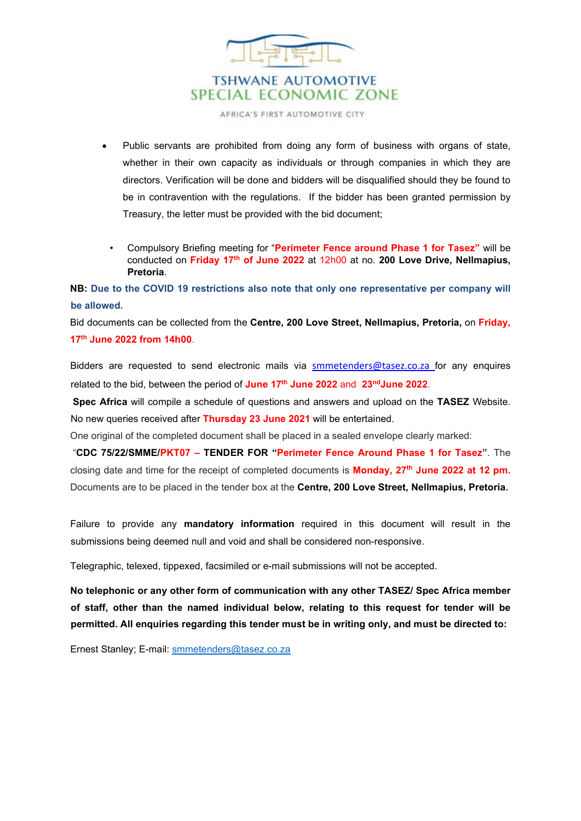

- Public servants are prohibited from doing any form of business with organs of state, whether in their own capacity as individuals or through companies in which they are directors. Verification will be done and bidders will be disqualified should they be found to be in contravention with the regulations. If the bidder has been granted permission by Treasury, the letter must be provided with the bid document;
	- Compulsory Briefing meeting for "**Perimeter Fence around Phase 1 for Tasez"** will be conducted on **Friday 17th of June 2022** at 12h00 at no. **200 Love Drive, Nellmapius, Pretoria**.

**NB: Due to the COVID 19 restrictions also note that only one representative per company will be allowed***.*

Bid documents can be collected from the **Centre, 200 Love Street, Nellmapius, Pretoria,** on **Friday, 17th June 2022 from 14h00**.

Bidders are requested to send electronic mails via smmetenders@tasez.co.za for any enquires related to the bid, between the period of **June 17th June 2022** and **23ndJune 2022**.

**Spec Africa** will compile a schedule of questions and answers and upload on the **TASEZ** Website. No new queries received after **Thursday 23 June 2021** will be entertained.

One original of the completed document shall be placed in a sealed envelope clearly marked:

"**CDC 75/22/SMME/PKT07 – TENDER FOR "Perimeter Fence Around Phase 1 for Tasez"**. The closing date and time for the receipt of completed documents is **Monday, 27th June 2022 at 12 pm.** Documents are to be placed in the tender box at the **Centre, 200 Love Street, Nellmapius, Pretoria.**

Failure to provide any **mandatory information** required in this document will result in the submissions being deemed null and void and shall be considered non-responsive.

Telegraphic, telexed, tippexed, facsimiled or e-mail submissions will not be accepted.

**No telephonic or any other form of communication with any other TASEZ/ Spec Africa member of staff, other than the named individual below, relating to this request for tender will be permitted. All enquiries regarding this tender must be in writing only, and must be directed to:** 

Ernest Stanley; E-mail: [smmetenders@tasez.co.za](mailto:smmetenders@tasez.co.za)